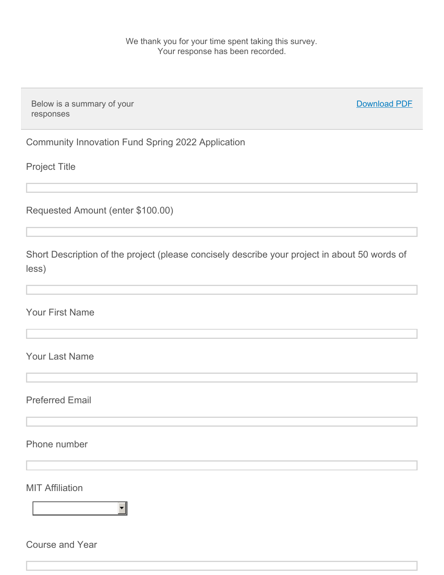We thank you for your time spent taking this survey. Your response has been recorded.

Below is a summary of your responses

Download PDF

Community Innovation Fund Spring 2022 Application

Project Title

Requested Amount (enter \$100.00)

Short Description of the project (please concisely describe your project in about 50 words of less)

Your First Name

Your Last Name

Preferred Email

Phone number

**MIT Affiliation** 

 $\overline{\phantom{0}}$ 

Course and Year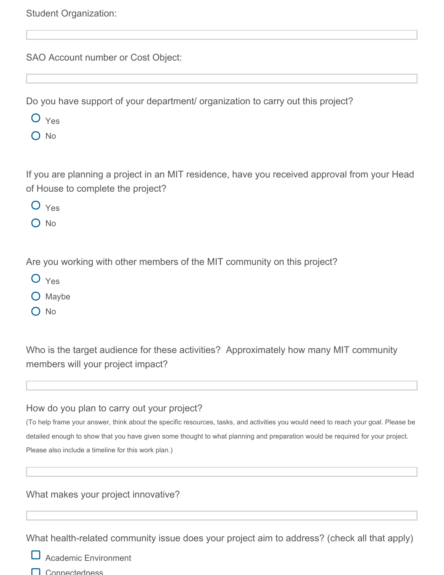Student Organization:

SAO Account number or Cost Object:

Do you have support of your department/ organization to carry out this project?

- O Yes
- $\bigcap$  No

If you are planning a project in an MIT residence, have you received approval from your Head of House to complete the project?

- $O$   $Y_{\text{es}}$
- O No

Are you working with other members of the MIT community on this project?

- O Yes
- $\bigcirc$  Maybe
- O No

Who is the target audience for these activities? Approximately how many MIT community members will your project impact?

## How do you plan to carry out your project?

(To help frame your answer, think about the specific resources, tasks, and activities you would need to reach your goal. Please be detailed enough to show that you have given some thought to what planning and preparation would be required for your project. Please also include a timeline for this work plan.)

## What makes your project innovative?

What health-related community issue does your project aim to address? (check all that apply)

Academic Environment

**Connectedness**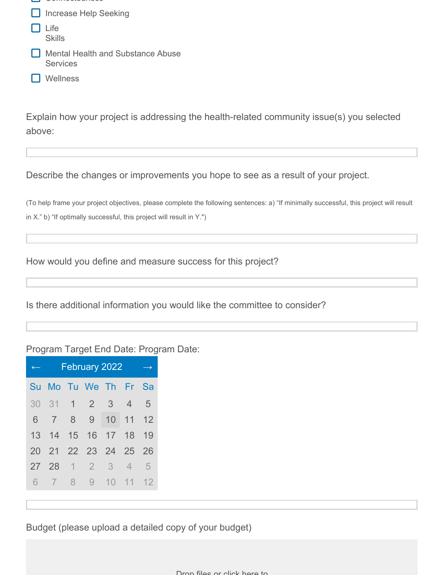- **Connectedness**
- **Increase Help Seeking**
- Life **Skills**
- **Mental Health and Substance Abuse Services**
- □ Wellness

Explain how your project is addressing the health-related community issue(s) you selected above:

Describe the changes or improvements you hope to see as a result of your project.

(To help frame your project objectives, please complete the following sentences: a) "If minimally successful, this project will result in X." b) "If optimally successful, this project will result in Y.")

How would you define and measure success for this project?

Is there additional information you would like the committee to consider?

## Program Target End Date: Program Date:

|                 | February 2022  |                |                 |                         |                                |    |
|-----------------|----------------|----------------|-----------------|-------------------------|--------------------------------|----|
| Su              | Mo l           |                | Tu We           |                         | $Th$ $Fr$                      | Sa |
| 30              |                | $31 \quad 1$   | $\vert 2 \vert$ | $\overline{\mathbf{3}}$ | $\overline{4}$                 | 5  |
| 6               | $\overline{7}$ | 8              | 9               | 10                      | 11                             | 12 |
| 13 <sup>1</sup> | 14             | 15             | 16              |                         | $17 \overline{\phantom{0}}$ 18 | 19 |
| 20              |                |                | 21 22 23 24 25  |                         |                                | 26 |
| 27              | 28             | $\overline{1}$ | $\overline{2}$  | $\overline{3}$          | $\overline{4}$                 | 5  |
| 6               | $\overline{7}$ | 8              | 9               | 10                      | 11                             | 12 |

Budget (please upload a detailed copy of your budget)